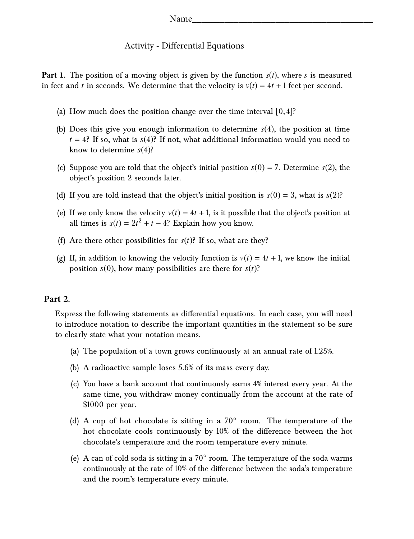## Activity - Differential Equations

**Part 1.** The position of a moving object is given by the function  $s(t)$ , where *s* is measured in feet and *t* in seconds. We determine that the velocity is  $v(t) = 4t + 1$  feet per second.

- (a) How much does the position change over the time interval  $[0,4]$ ?
- (b) Does this give you enough information to determine *s*(4), the position at time  $t = 4$ ? If so, what is  $s(4)$ ? If not, what additional information would you need to know to determine *s*(4)?
- (c) Suppose you are told that the object's initial position  $s(0) = 7$ . Determine  $s(2)$ , the object's position 2 seconds later.
- (d) If you are told instead that the object's initial position is  $s(0) = 3$ , what is  $s(2)$ ?
- (e) If we only know the velocity  $v(t) = 4t + 1$ , is it possible that the object's position at all times is  $s(t) = 2t^2 + t - 4$ ? Explain how you know.
- (f) Are there other possibilities for  $s(t)$ ? If so, what are they?
- (g) If, in addition to knowing the velocity function is  $v(t) = 4t + 1$ , we know the initial position  $s(0)$ , how many possibilities are there for  $s(t)$ ?

## **Part 2.**

Express the following statements as differential equations. In each case, you will need to introduce notation to describe the important quantities in the statement so be sure to clearly state what your notation means.

- (a) The population of a town grows continuously at an annual rate of 1.25%.
- (b) A radioactive sample loses 5.6% of its mass every day.
- (c) You have a bank account that continuously earns 4% interest every year. At the same time, you withdraw money continually from the account at the rate of \$1000 per year.
- (d) A cup of hot chocolate is sitting in a 70° room. The temperature of the hot chocolate cools continuously by 10% of the difference between the hot chocolate's temperature and the room temperature every minute.
- (e) A can of cold soda is sitting in a  $70^{\circ}$  room. The temperature of the soda warms continuously at the rate of 10% of the difference between the soda's temperature and the room's temperature every minute.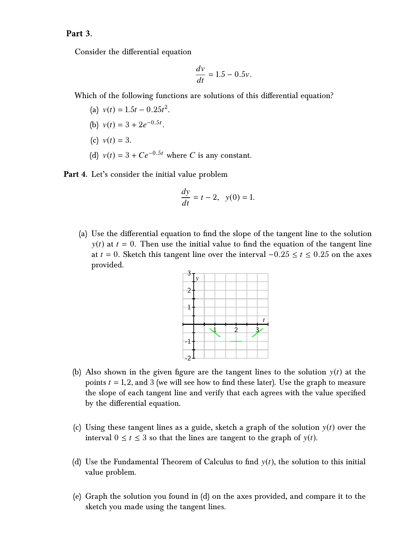## **Part 3.**

Consider the differential equation

$$
\frac{dv}{dt} = 1.5 - 0.5v.
$$

Which of the following functions are solutions of this differential equation?

- (a)  $v(t) = 1.5t 0.25t^2$ .
- (b)  $v(t) = 3 + 2e^{-0.5t}$ .
- (c)  $v(t) = 3$ .
- (d)  $v(t) = 3 + Ce^{-0.5t}$  where *C* is any constant.

**Part 4.** Let's consider the initial value problem

$$
\frac{dy}{dt} = t - 2, \quad y(0) = 1.
$$

(a) Use the differential equation to find the slope of the tangent line to the solution  $y(t)$  at  $t = 0$ . Then use the initial value to find the equation of the tangent line at  $t = 0$ . Sketch this tangent line over the interval  $-0.25 \le t \le 0.25$  on the axes provided.



- (b) Also shown in the given figure are the tangent lines to the solution y(*t*) at the points  $t = 1, 2$ , and 3 (we will see how to find these later). Use the graph to measure the slope of each tangent line and verify that each agrees with the value specified by the differential equation.
- (c) Using these tangent lines as a guide, sketch a graph of the solution y(*t*) over the interval  $0 \le t \le 3$  so that the lines are tangent to the graph of  $y(t)$ .
- (d) Use the Fundamental Theorem of Calculus to find  $y(t)$ , the solution to this initial value problem.
- (e) Graph the solution you found in (d) on the axes provided, and compare it to the sketch you made using the tangent lines.